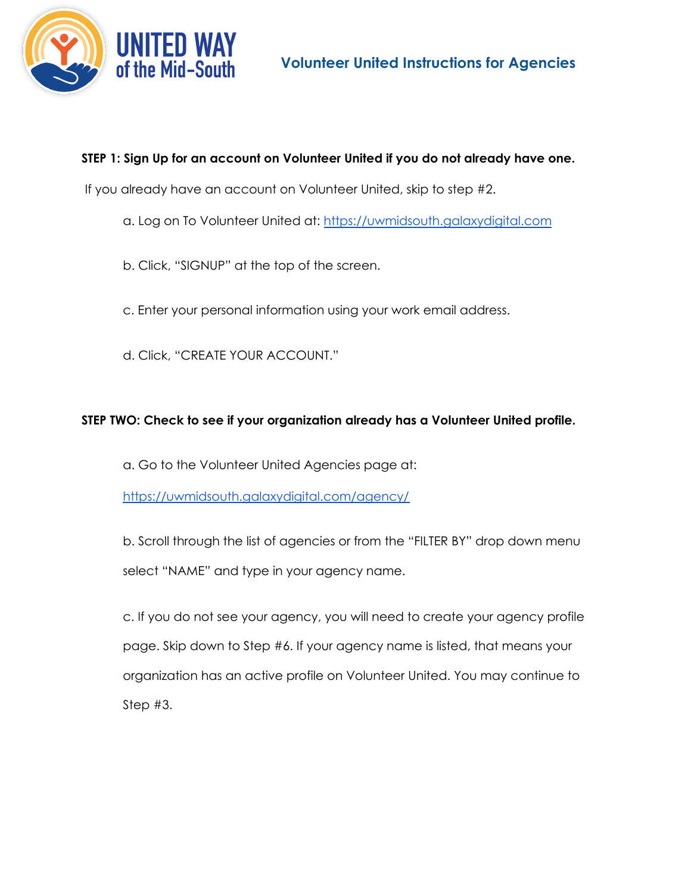

# **STEP 1: Sign Up for an account on Volunteer United if you do not already have one.**

If you already have an account on Volunteer United, skip to step #2.

- a. Log on To Volunteer United at: https://uwmidsouth.galaxydigital.com
- b. Click, "SIGNUP" at the top of the screen.
- c. Enter your personal information using your work email address.
- d. Click, "CREATE YOUR ACCOUNT."

## **STEP TWO: Check to see if your organization already has a Volunteer United profile.**

a. Go to the Volunteer United Agencies page at:

https://uwmidsouth.galaxydigital.com/agency/

b. Scroll through the list of agencies or from the "FILTER BY" drop down menu select "NAME" and type in your agency name.

c. If you do not see your agency, you will need to create your agency profile page. Skip down to Step #6. If your agency name is listed, that means your organization has an active profile on Volunteer United. You may continue to Step #3.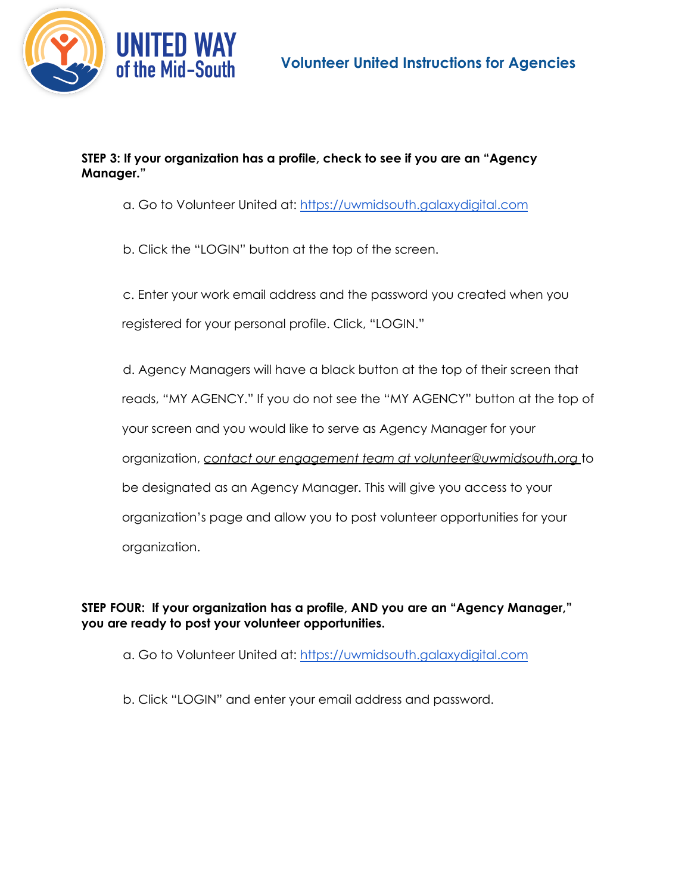



#### **STEP 3: If your organization has a profile, check to see if you are an "Agency Manager."**

a. Go to Volunteer United at: https://uwmidsouth.galaxydigital.com

b. Click the "LOGIN" button at the top of the screen.

c. Enter your work email address and the password you created when you registered for your personal profile. Click, "LOGIN."

d. Agency Managers will have a black button at the top of their screen that reads, "MY AGENCY." If you do not see the "MY AGENCY" button at the top of your screen and you would like to serve as Agency Manager for your organization, *contact our engagement team at volunteer@uwmidsouth.org* to be designated as an Agency Manager. This will give you access to your organization's page and allow you to post volunteer opportunities for your organization.

**STEP FOUR: If your organization has a profile, AND you are an "Agency Manager," you are ready to post your volunteer opportunities.**

- a. Go to Volunteer United at: https://uwmidsouth.galaxydigital.com
- b. Click "LOGIN" and enter your email address and password.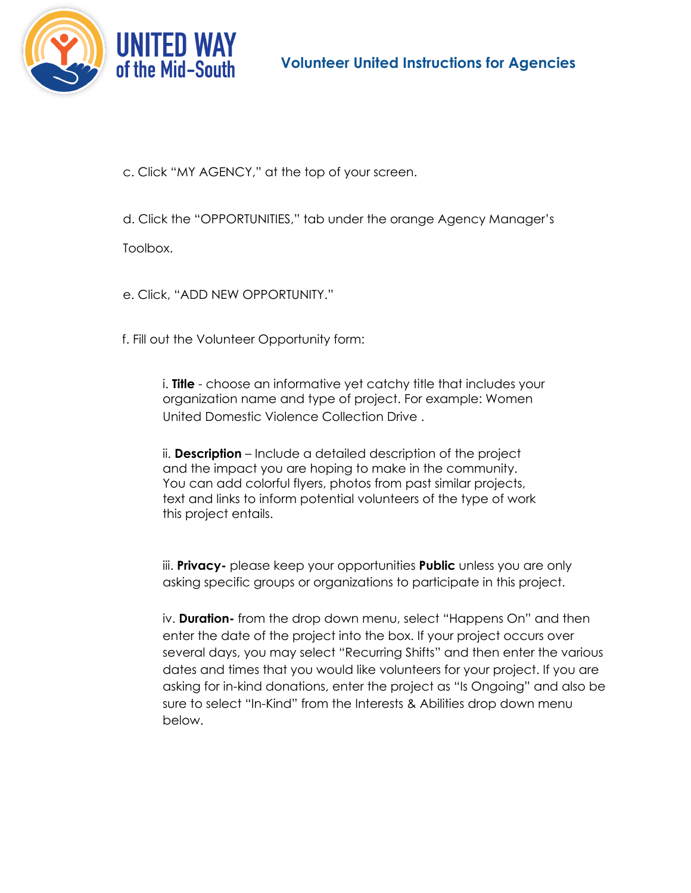



c. Click "MY AGENCY," at the top of your screen.

d. Click the "OPPORTUNITIES," tab under the orange Agency Manager's

Toolbox.

e. Click, "ADD NEW OPPORTUNITY."

f. Fill out the Volunteer Opportunity form:

i. **Title** - choose an informative yet catchy title that includes your organization name and type of project. For example: Women United Domestic Violence Collection Drive .

ii. **Description** – Include a detailed description of the project and the impact you are hoping to make in the community. You can add colorful flyers, photos from past similar projects, text and links to inform potential volunteers of the type of work this project entails.

iii. **Privacy-** please keep your opportunities **Public** unless you are only asking specific groups or organizations to participate in this project.

iv. **Duration-** from the drop down menu, select "Happens On" and then enter the date of the project into the box. If your project occurs over several days, you may select "Recurring Shifts" and then enter the various dates and times that you would like volunteers for your project. If you are asking for in-kind donations, enter the project as "Is Ongoing" and also be sure to select "In-Kind" from the Interests & Abilities drop down menu below.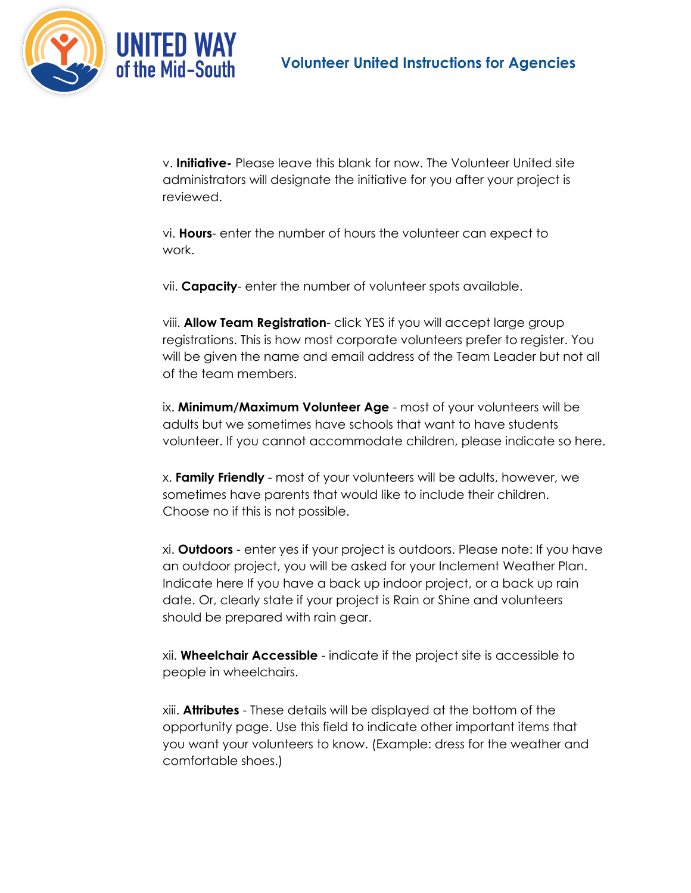

v. **Initiative-** Please leave this blank for now. The Volunteer United site administrators will designate the initiative for you after your project is reviewed.

vi. **Hours**- enter the number of hours the volunteer can expect to work.

vii. **Capacity**- enter the number of volunteer spots available.

viii. **Allow Team Registration**- click YES if you will accept large group registrations. This is how most corporate volunteers prefer to register. You will be given the name and email address of the Team Leader but not all of the team members.

ix. **Minimum/Maximum Volunteer Age** - most of your volunteers will be adults but we sometimes have schools that want to have students volunteer. If you cannot accommodate children, please indicate so here.

x. **Family Friendly** - most of your volunteers will be adults, however, we sometimes have parents that would like to include their children. Choose no if this is not possible.

xi. **Outdoors** - enter yes if your project is outdoors. Please note: If you have an outdoor project, you will be asked for your Inclement Weather Plan. Indicate here If you have a back up indoor project, or a back up rain date. Or, clearly state if your project is Rain or Shine and volunteers should be prepared with rain gear.

xii. **Wheelchair Accessible** - indicate if the project site is accessible to people in wheelchairs.

xiii. **Attributes** - These details will be displayed at the bottom of the opportunity page. Use this field to indicate other important items that you want your volunteers to know. (Example: dress for the weather and comfortable shoes.)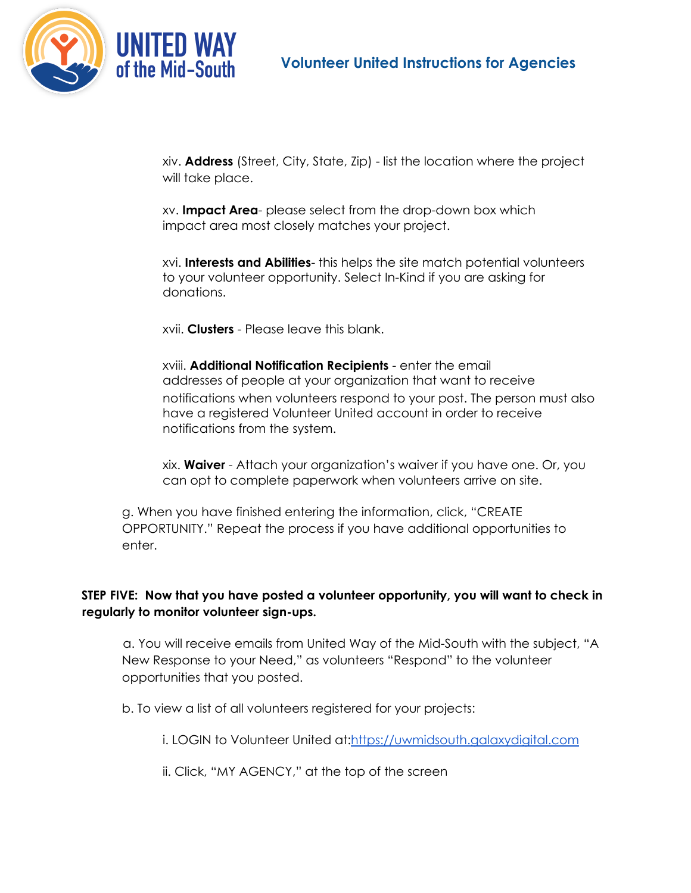

xiv. **Address** (Street, City, State, Zip) - list the location where the project will take place.

xv. **Impact Area**- please select from the drop-down box which impact area most closely matches your project.

xvi. **Interests and Abilities**- this helps the site match potential volunteers to your volunteer opportunity. Select In-Kind if you are asking for donations.

xvii. **Clusters** - Please leave this blank.

xviii. **Additional Notification Recipients** - enter the email addresses of people at your organization that want to receive notifications when volunteers respond to your post. The person must also have a registered Volunteer United account in order to receive notifications from the system.

xix. **Waiver** - Attach your organization's waiver if you have one. Or, you can opt to complete paperwork when volunteers arrive on site.

g. When you have finished entering the information, click, "CREATE OPPORTUNITY." Repeat the process if you have additional opportunities to enter.

## **STEP FIVE: Now that you have posted a volunteer opportunity, you will want to check in regularly to monitor volunteer sign-ups.**

a. You will receive emails from United Way of the Mid-South with the subject, "A New Response to your Need," as volunteers "Respond" to the volunteer opportunities that you posted.

b. To view a list of all volunteers registered for your projects:

i. LOGIN to Volunteer United at:https://uwmidsouth.galaxydigital.com

ii. Click, "MY AGENCY," at the top of the screen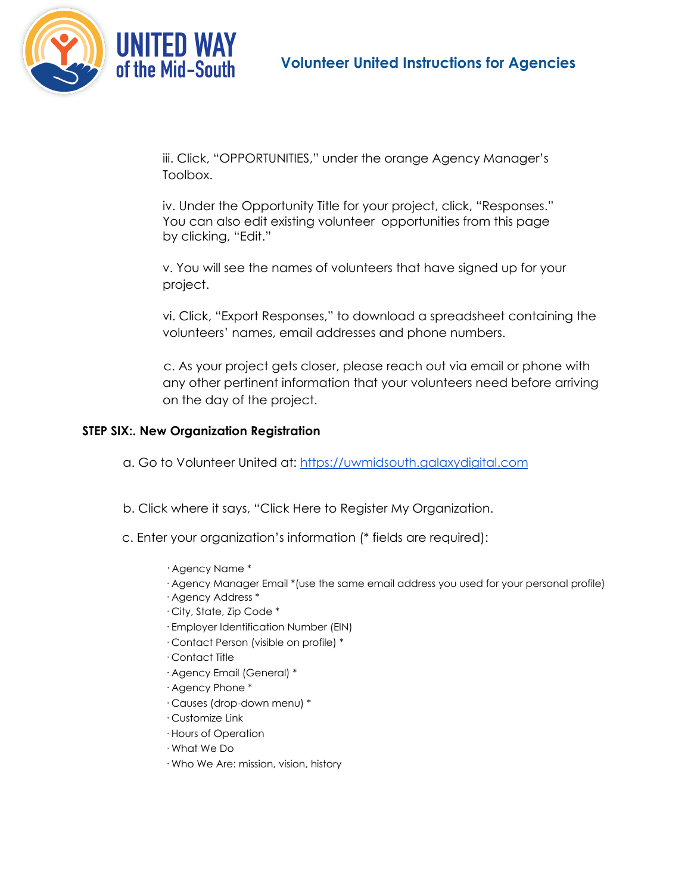

iii. Click, "OPPORTUNITIES," under the orange Agency Manager's Toolbox.

iv. Under the Opportunity Title for your project, click, "Responses." You can also edit existing volunteer opportunities from this page by clicking, "Edit."

v. You will see the names of volunteers that have signed up for your project.

vi. Click, "Export Responses," to download a spreadsheet containing the volunteers' names, email addresses and phone numbers.

c. As your project gets closer, please reach out via email or phone with any other pertinent information that your volunteers need before arriving on the day of the project.

### **STEP SIX:. New Organization Registration**

- a. Go to Volunteer United at: https://uwmidsouth.galaxydigital.com
- b. Click where it says, "Click Here to Register My Organization.
- c. Enter your organization's information (\* fields are required):
	- · Agency Name \*
	- · Agency Manager Email \*(use the same email address you used for your personal profile)
	- · Agency Address \*
	- · City, State, Zip Code \*
	- · Employer Identification Number (EIN)
	- · Contact Person (visible on profile) \*
	- · Contact Title
	- · Agency Email (General) \*
	- · Agency Phone \*
	- · Causes (drop-down menu) \*
	- · Customize Link
	- · Hours of Operation
	- · What We Do
	- · Who We Are: mission, vision, history